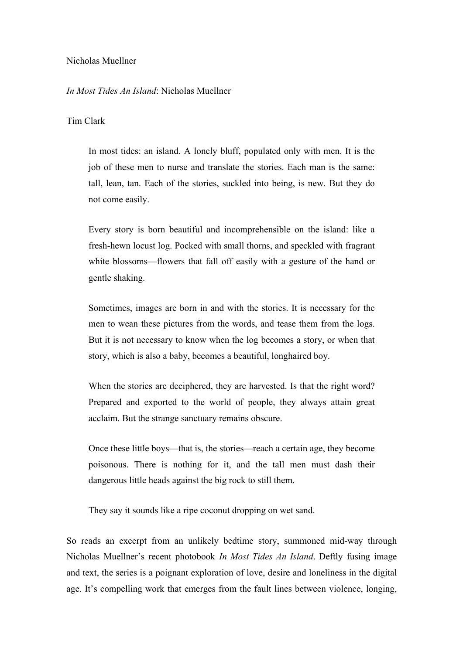## Nicholas Muellner

## *In Most Tides An Island*: Nicholas Muellner

## Tim Clark

In most tides: an island. A lonely bluff, populated only with men. It is the job of these men to nurse and translate the stories. Each man is the same: tall, lean, tan. Each of the stories, suckled into being, is new. But they do not come easily.

Every story is born beautiful and incomprehensible on the island: like a fresh-hewn locust log. Pocked with small thorns, and speckled with fragrant white blossoms—flowers that fall off easily with a gesture of the hand or gentle shaking.

Sometimes, images are born in and with the stories. It is necessary for the men to wean these pictures from the words, and tease them from the logs. But it is not necessary to know when the log becomes a story, or when that story, which is also a baby, becomes a beautiful, longhaired boy.

When the stories are deciphered, they are harvested. Is that the right word? Prepared and exported to the world of people, they always attain great acclaim. But the strange sanctuary remains obscure.

Once these little boys—that is, the stories—reach a certain age, they become poisonous. There is nothing for it, and the tall men must dash their dangerous little heads against the big rock to still them.

They say it sounds like a ripe coconut dropping on wet sand.

So reads an excerpt from an unlikely bedtime story, summoned mid-way through Nicholas Muellner's recent photobook *In Most Tides An Island*. Deftly fusing image and text, the series is a poignant exploration of love, desire and loneliness in the digital age. It's compelling work that emerges from the fault lines between violence, longing,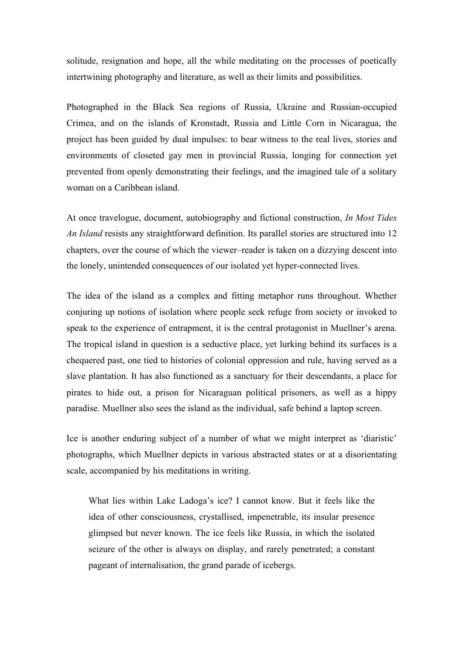solitude, resignation and hope, all the while meditating on the processes of poetically intertwining photography and literature, as well as their limits and possibilities.

Photographed in the Black Sea regions of Russia, Ukraine and Russian-occupied Crimea, and on the islands of Kronstadt, Russia and Little Corn in Nicaragua, the project has been guided by dual impulses: to bear witness to the real lives, stories and environments of closeted gay men in provincial Russia, longing for connection yet prevented from openly demonstrating their feelings, and the imagined tale of a solitary woman on a Caribbean island.

At once travelogue, document, autobiography and fictional construction, *In Most Tides An Island* resists any straightforward definition. Its parallel stories are structured into 12 chapters, over the course of which the viewer–reader is taken on a dizzying descent into the lonely, unintended consequences of our isolated yet hyper-connected lives.

The idea of the island as a complex and fitting metaphor runs throughout. Whether conjuring up notions of isolation where people seek refuge from society or invoked to speak to the experience of entrapment, it is the central protagonist in Muellner's arena. The tropical island in question is a seductive place, yet lurking behind its surfaces is a chequered past, one tied to histories of colonial oppression and rule, having served as a slave plantation. It has also functioned as a sanctuary for their descendants, a place for pirates to hide out, a prison for Nicaraguan political prisoners, as well as a hippy paradise. Muellner also sees the island as the individual, safe behind a laptop screen.

Ice is another enduring subject of a number of what we might interpret as 'diaristic' photographs, which Muellner depicts in various abstracted states or at a disorientating scale, accompanied by his meditations in writing.

What lies within Lake Ladoga's ice? I cannot know. But it feels like the idea of other consciousness, crystallised, impenetrable, its insular presence glimpsed but never known. The ice feels like Russia, in which the isolated seizure of the other is always on display, and rarely penetrated; a constant pageant of internalisation, the grand parade of icebergs.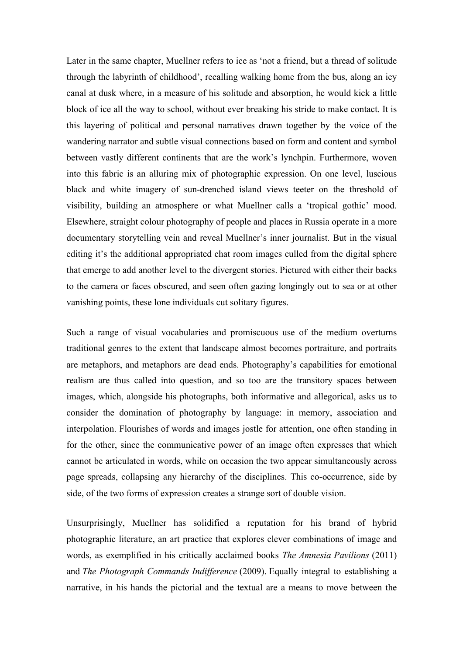Later in the same chapter, Muellner refers to ice as 'not a friend, but a thread of solitude through the labyrinth of childhood', recalling walking home from the bus, along an icy canal at dusk where, in a measure of his solitude and absorption, he would kick a little block of ice all the way to school, without ever breaking his stride to make contact. It is this layering of political and personal narratives drawn together by the voice of the wandering narrator and subtle visual connections based on form and content and symbol between vastly different continents that are the work's lynchpin. Furthermore, woven into this fabric is an alluring mix of photographic expression. On one level, luscious black and white imagery of sun-drenched island views teeter on the threshold of visibility, building an atmosphere or what Muellner calls a 'tropical gothic' mood. Elsewhere, straight colour photography of people and places in Russia operate in a more documentary storytelling vein and reveal Muellner's inner journalist. But in the visual editing it's the additional appropriated chat room images culled from the digital sphere that emerge to add another level to the divergent stories. Pictured with either their backs to the camera or faces obscured, and seen often gazing longingly out to sea or at other vanishing points, these lone individuals cut solitary figures.

Such a range of visual vocabularies and promiscuous use of the medium overturns traditional genres to the extent that landscape almost becomes portraiture, and portraits are metaphors, and metaphors are dead ends. Photography's capabilities for emotional realism are thus called into question, and so too are the transitory spaces between images, which, alongside his photographs, both informative and allegorical, asks us to consider the domination of photography by language: in memory, association and interpolation. Flourishes of words and images jostle for attention, one often standing in for the other, since the communicative power of an image often expresses that which cannot be articulated in words, while on occasion the two appear simultaneously across page spreads, collapsing any hierarchy of the disciplines. This co-occurrence, side by side, of the two forms of expression creates a strange sort of double vision.

Unsurprisingly, Muellner has solidified a reputation for his brand of hybrid photographic literature, an art practice that explores clever combinations of image and words, as exemplified in his critically acclaimed books *The Amnesia Pavilions* (2011) and *The Photograph Commands Indifference* (2009). Equally integral to establishing a narrative, in his hands the pictorial and the textual are a means to move between the